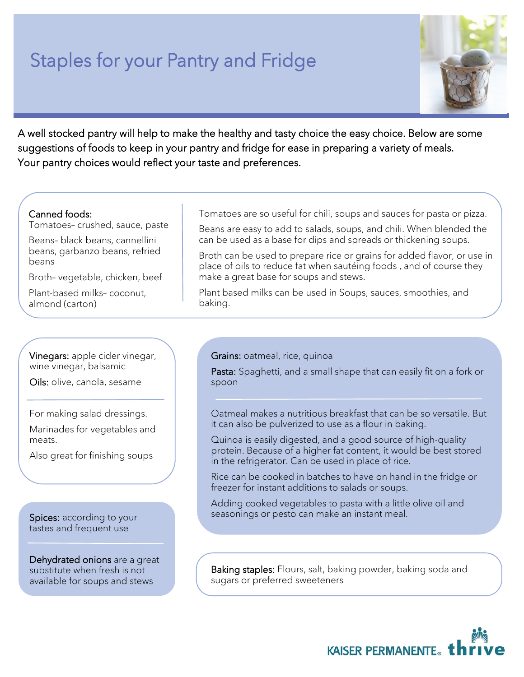## Staples for your Pantry and Fridge



A well stocked pantry will help to make the healthy and tasty choice the easy choice. Below are some suggestions of foods to keep in your pantry and fridge for ease in preparing a variety of meals. Your pantry choices would reflect your taste and preferences.

## Canned foods:

Tomatoes– crushed, sauce, paste

Beans– black beans, cannellini beans, garbanzo beans, refried beans

Broth– vegetable, chicken, beef

Plant-based milks– coconut, almond (carton)

Tomatoes are so useful for chili, soups and sauces for pasta or pizza.

Beans are easy to add to salads, soups, and chili. When blended the can be used as a base for dips and spreads or thickening soups.

Broth can be used to prepare rice or grains for added flavor, or use in place of oils to reduce fat when sautéing foods , and of course they make a great base for soups and stews.

Plant based milks can be used in Soups, sauces, smoothies, and baking.

Vinegars: apple cider vinegar, wine vinegar, balsamic

Oils: olive, canola, sesame

For making salad dressings.

Marinades for vegetables and meats.

Also great for finishing soups

Spices: according to your tastes and frequent use

Dehydrated onions are a great substitute when fresh is not available for soups and stews

Grains: oatmeal, rice, quinoa

Pasta: Spaghetti, and a small shape that can easily fit on a fork or spoon

Oatmeal makes a nutritious breakfast that can be so versatile. But it can also be pulverized to use as a flour in baking.

Quinoa is easily digested, and a good source of high-quality protein. Because of a higher fat content, it would be best stored in the refrigerator. Can be used in place of rice.

Rice can be cooked in batches to have on hand in the fridge or freezer for instant additions to salads or soups.

Adding cooked vegetables to pasta with a little olive oil and seasonings or pesto can make an instant meal.

Baking staples: Flours, salt, baking powder, baking soda and sugars or preferred sweeteners